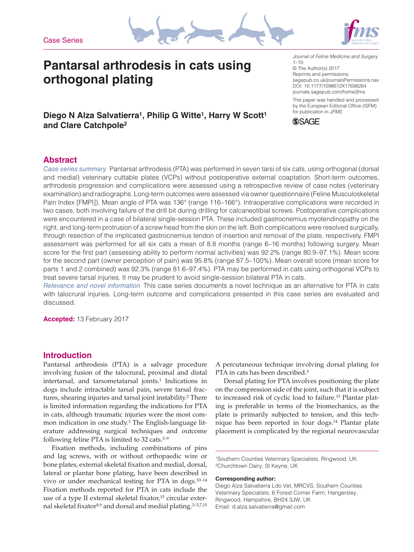Case Series





# **Pantarsal arthrodesis in cats using orthogonal plating**

Diego N Alza Salvatierra<sup>1</sup>, Philip G Witte<sup>1</sup>, Harry W Scott<sup>1</sup> **and Clare Catchpole2**

DOI: 10.1177/1098612X17698264 *Journal of Feline Medicine and Surgery*  $1 - 10$ © The Author(s) 2017 Reprints and permissions: [sagepub.co.uk/journalsPermissions.nav](https://uk.sagepub.com/en-gb/journals-permissions) [journals.sagepub.com/home/jfms](https://journals.sagepub.com/home/jfms) This paper was handled and processed by the European Editorial Office (ISFM) for publication in *JFMS*



# **Abstract**

*Case series summary* Pantarsal arthrodesis (PTA) was performed in seven tarsi of six cats, using orthogonal (dorsal and medial) veterinary cuttable plates (VCPs) without postoperative external coaptation. Short-term outcomes, arthrodesis progression and complications were assessed using a retrospective review of case notes (veterinary examination) and radiographs. Long-term outcomes were assessed via owner questionnaire (Feline Musculoskeletal Pain Index [FMPI]). Mean angle of PTA was 136° (range 116–166°). Intraoperative complications were recorded in two cases, both involving failure of the drill bit during drilling for calcaneotibial screws. Postoperative complications were encountered in a case of bilateral single-session PTA. These included gastrocnemius myotendinopathy on the right, and long-term protrusion of a screw head from the skin on the left. Both complications were resolved surgically, through resection of the implicated gastrocnemius tendon of insertion and removal of the plate, respectively. FMPI assessment was performed for all six cats a mean of 8.8 months (range 6–16 months) following surgery. Mean score for the first part (assessing ability to perform normal activities) was 92.2% (range 80.9–97.1%). Mean score for the second part (owner perception of pain) was 95.8% (range 87.5–100%). Mean overall score (mean score for parts 1 and 2 combined) was 92.3% (range 81.6–97.4%). PTA may be performed in cats using orthogonal VCPs to treat severe tarsal injuries. It may be prudent to avoid single-session bilateral PTA in cats.

*Relevance and novel information* This case series documents a novel technique as an alternative for PTA in cats with talocrural injuries. Long-term outcome and complications presented in this case series are evaluated and discussed.

**Accepted:** 13 February 2017

## **Introduction**

Pantarsal arthrodesis (PTA) is a salvage procedure involving fusion of the talocrural, proximal and distal intertarsal, and tarsometatarsal joints.<sup>1</sup> Indications in dogs include intractable tarsal pain, severe tarsal fractures, shearing injuries and tarsal joint instability.<sup>2</sup> There is limited information regarding the indications for PTA in cats, although traumatic injuries were the most common indication in one study.3 The English-language literature addressing surgical techniques and outcome following feline PTA is limited to 32 cats.3–9

Fixation methods, including combinations of pins and lag screws, with or without orthopaedic wire or bone plates, external skeletal fixation and medial, dorsal, lateral or plantar bone plating, have been described in vivo or under mechanical testing for PTA in dogs.10–14 Fixation methods reported for PTA in cats include the use of a type II external skeletal fixator,<sup>15</sup> circular external skeletal fixator<sup>8,9</sup> and dorsal and medial plating.<sup>3-5,7,15</sup>

A percutaneous technique involving dorsal plating for PTA in cats has been described.<sup>3</sup>

Dorsal plating for PTA involves positioning the plate on the compression side of the joint, such that it is subject to increased risk of cyclic load to failure.15 Plantar plating is preferable in terms of the biomechanics, as the plate is primarily subjected to tension, and this technique has been reported in four dogs.14 Plantar plate placement is complicated by the regional neurovascular

1Southern Counties Veterinary Specialists, Ringwood, UK 2Churchtown Dairy, St Keyne, UK

#### **Corresponding author:**

Diego Alza Salvatierra Ldo Vet, MRCVS, Southern Counties Veterinary Specialists, 6 Forest Corner Farm, Hangersley, Ringwood, Hampshire, BH24 3JW, UK Email: d.alza.salvatierra@gmail.com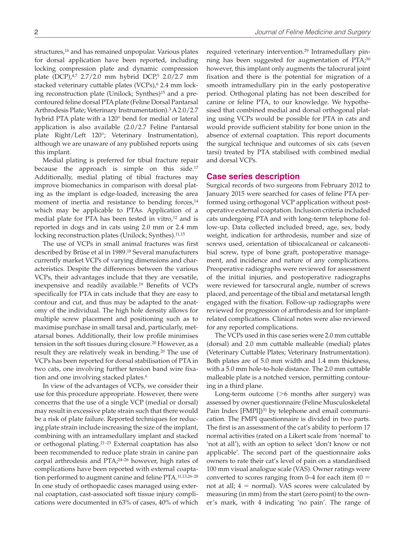structures,<sup>16</sup> and has remained unpopular. Various plates for dorsal application have been reported, including locking compression plate and dynamic compression plate (DCP),<sup>4,7</sup> 2.7/2.0 mm hybrid DCP,<sup>5</sup> 2.0/2.7 mm stacked veterinary cuttable plates (VCPs),<sup>6</sup> 2.4 mm locking reconstruction plate (Unilock; Synthes)<sup>15</sup> and a precontoured feline dorsal PTA plate (Feline Dorsal Pantarsal Arthrodesis Plate; Veterinary Instrumentation).3 A 2.0/2.7 hybrid PTA plate with a 120° bend for medial or lateral application is also available (2.0/2.7 Feline Pantarsal plate Right/Left 120°; Veterinary Instrumentation), although we are unaware of any published reports using this implant.

Medial plating is preferred for tibial fracture repair because the approach is simple on this side.17 Additionally, medial plating of tibial fractures may improve biomechanics in comparison with dorsal plating as the implant is edge-loaded, increasing the area moment of inertia and resistance to bending forces, $14$ which may be applicable to PTAs. Application of a medial plate for PTA has been tested in vitro,<sup>12</sup> and is reported in dogs and in cats using 2.0 mm or 2.4 mm locking reconstruction plates (Unilock; Synthes).<sup>11,15</sup>

The use of VCPs in small animal fractures was first described by Brüse et al in 1989.18 Several manufacturers currently market VCPs of varying dimensions and characteristics. Despite the differences between the various VCPs, their advantages include that they are versatile, inexpensive and readily available.19 Benefits of VCPs specifically for PTA in cats include that they are easy to contour and cut, and thus may be adapted to the anatomy of the individual. The high hole density allows for multiple screw placement and positioning such as to maximise purchase in small tarsal and, particularly, metatarsal bones. Additionally, their low profile minimises tension in the soft tissues during closure.20 However, as a result they are relatively weak in bending.<sup>20</sup> The use of VCPs has been reported for dorsal stabilisation of PTA in two cats, one involving further tension band wire fixation and one involving stacked plates.<sup>6</sup>

In view of the advantages of VCPs, we consider their use for this procedure appropriate. However, there were concerns that the use of a single VCP (medial or dorsal) may result in excessive plate strain such that there would be a risk of plate failure. Reported techniques for reducing plate strain include increasing the size of the implant, combining with an intramedullary implant and stacked or orthogonal plating.21–23 External coaptation has also been recommended to reduce plate strain in canine pan carpal arthrodesis and PTA;<sup>24–26</sup> however, high rates of complications have been reported with external coaptation performed to augment canine and feline PTA.11,13,26–28 In one study of orthopaedic cases managed using external coaptation, cast-associated soft tissue injury complications were documented in 63% of cases, 40% of which

required veterinary intervention.29 Intramedullary pinning has been suggested for augmentation of PTA;<sup>30</sup> however, this implant only augments the talocrural joint fixation and there is the potential for migration of a smooth intramedullary pin in the early postoperative period. Orthogonal plating has not been described for canine or feline PTA, to our knowledge. We hypothesised that combined medial and dorsal orthogonal plating using VCPs would be possible for PTA in cats and would provide sufficient stability for bone union in the absence of external coaptation. This report documents the surgical technique and outcomes of six cats (seven tarsi) treated by PTA stabilised with combined medial and dorsal VCPs.

#### **Case series description**

Surgical records of two surgeons from February 2012 to January 2015 were searched for cases of feline PTA performed using orthogonal VCP application without postoperative external coaptation. Inclusion criteria included cats undergoing PTA and with long-term telephone follow-up. Data collected included breed, age, sex, body weight, indication for arthrodesis, number and size of screws used, orientation of tibiocalcaneal or calcaneotibial screw, type of bone graft, postoperative management, and incidence and nature of any complications. Preoperative radiographs were reviewed for assessment of the initial injuries, and postoperative radiographs were reviewed for tarsocrural angle, number of screws placed, and percentage of the tibial and metatarsal length engaged with the fixation. Follow-up radiographs were reviewed for progression of arthrodesis and for implantrelated complications. Clinical notes were also reviewed for any reported complications.

The VCPs used in this case series were 2.0 mm cuttable (dorsal) and 2.0 mm cuttable malleable (medial) plates (Veterinary Cuttable Plates; Veterinary Instrumentation). Both plates are of 5.0 mm width and 1.4 mm thickness, with a 5.0 mm hole-to-hole distance. The 2.0 mm cuttable malleable plate is a notched version, permitting contouring in a third plane.

Long-term outcome (>6 months after surgery) was assessed by owner questionnaire (Feline Musculoskeletal Pain Index [FMPI])<sup>31</sup> by telephone and email communication. The FMPI questionnaire is divided in two parts. The first is an assessment of the cat's ability to perform 17 normal activities (rated on a Likert scale from 'normal' to 'not at all'), with an option to select 'don't know or not applicable'. The second part of the questionnaire asks owners to rate their cat's level of pain on a standardised 100 mm visual analogue scale (VAS). Owner ratings were converted to scores ranging from  $0-4$  for each item  $(0 =$ not at all;  $4 = normal$ ). VAS scores were calculated by measuring (in mm) from the start (zero point) to the owner's mark, with 4 indicating 'no pain'. The range of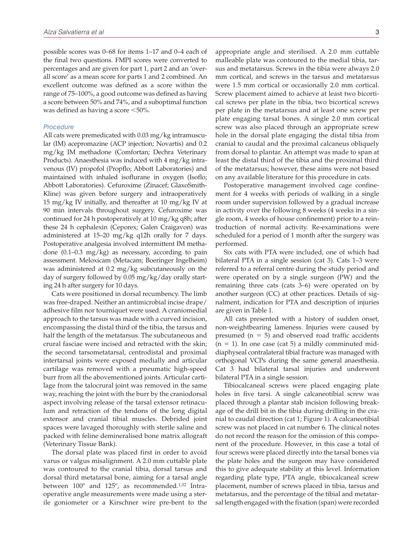possible scores was 0–68 for items 1–17 and 0–4 each of the final two questions. FMPI scores were converted to percentages and are given for part 1, part 2 and an 'overall score' as a mean score for parts 1 and 2 combined. An excellent outcome was defined as a score within the range of 75–100%, a good outcome was defined as having a score between 50% and 74%, and a suboptimal function was defined as having a score <50%.

#### *Procedure*

All cats were premedicated with 0.03 mg/kg intramuscular (IM) acepromazine (ACP injection; Novartis) and 0.2 mg/kg IM methadone (Comfortan; Dechra Veterinary Products). Anaesthesia was induced with 4 mg/kg intravenous (IV) propofol (Propflo; Abbott Laboratories) and maintained with inhaled isoflurane in oxygen (Isoflo; Abbott Laboratories). Cefuroxime (Zinacef; GlaxoSmith-Kline) was given before surgery and intraoperatively 15 mg/kg IV initially, and thereafter at 10 mg/kg IV at 90 min intervals throughout surgery. Cefuroxime was continued for 24 h postoperatively at 10 mg/kg q8h; after these 24 h cephalexin (Ceporex; Galen Craigavon) was administered at 15–20 mg/kg q12h orally for 7 days. Postoperative analgesia involved intermittent IM methadone (0.1–0.3 mg/kg) as necessary, according to pain assessment. Meloxicam (Metacam; Boeringer Ingelheim) was administered at 0.2 mg/kg subcutaneously on the day of surgery followed by 0.05 mg/kg/day orally starting 24 h after surgery for 10 days.

Cats were positioned in dorsal recumbency. The limb was free-draped. Neither an antimicrobial incise drape/ adhesive film nor tourniquet were used. A craniomedial approach to the tarsus was made with a curved incision, encompassing the distal third of the tibia, the tarsus and half the length of the metatarsus. The subcutaneous and crural fasciae were incised and retracted with the skin; the second tarsometatarsal, centrodistal and proximal intertarsal joints were exposed medially and articular cartilage was removed with a pneumatic high-speed burr from all the abovementioned joints. Articular cartilage from the talocrural joint was removed in the same way, reaching the joint with the burr by the craniodorsal aspect involving release of the tarsal extensor retinaculum and retraction of the tendons of the long digital extensor and cranial tibial muscles. Debrided joint spaces were lavaged thoroughly with sterile saline and packed with feline demineralised bone matrix allograft (Veterinary Tissue Bank).

The dorsal plate was placed first in order to avoid varus or valgus misalignment. A 2.0 mm cuttable plate was contoured to the cranial tibia, dorsal tarsus and dorsal third metatarsal bone, aiming for a tarsal angle between  $100^{\circ}$  and  $125^{\circ}$ , as recommended.<sup>1,32</sup> Intraoperative angle measurements were made using a sterile goniometer or a Kirschner wire pre-bent to the

appropriate angle and sterilised. A 2.0 mm cuttable malleable plate was contoured to the medial tibia, tarsus and metatarsus. Screws in the tibia were always 2.0 mm cortical, and screws in the tarsus and metatarsus were 1.5 mm cortical or occasionally 2.0 mm cortical. Screw placement aimed to achieve at least two bicortical screws per plate in the tibia, two bicortical screws per plate in the metatarsus and at least one screw per plate engaging tarsal bones. A single 2.0 mm cortical screw was also placed through an appropriate screw hole in the dorsal plate engaging the distal tibia from cranial to caudal and the proximal calcaneus obliquely from dorsal to plantar. An attempt was made to span at least the distal third of the tibia and the proximal third of the metatarsus; however, these aims were not based on any available literature for this procedure in cats.

Postoperative management involved cage confinement for 4 weeks with periods of walking in a single room under supervision followed by a gradual increase in activity over the following 8 weeks (4 weeks in a single room, 4 weeks of house confinement) prior to a reintroduction of normal activity. Re-examinations were scheduled for a period of 1 month after the surgery was performed.

Six cats with PTA were included, one of which had bilateral PTA in a single session (cat 3). Cats 1–3 were referred to a referral centre during the study period and were operated on by a single surgeon (PW) and the remaining three cats (cats 3–6) were operated on by another surgeon (CC) at other practices. Details of signalment, indication for PTA and description of injuries are given in Table 1.

All cats presented with a history of sudden onset, non-weightbearing lameness. Injuries were caused by presumed ( $n = 5$ ) and observed road traffic accidents  $(n = 1)$ . In one case (cat 5) a mildly comminuted middiaphyseal contralateral tibial fracture was managed with orthogonal VCPs during the same general anaesthesia. Cat 3 had bilateral tarsal injuries and underwent bilateral PTA in a single session.

Tibiocalcaneal screws were placed engaging plate holes in five tarsi. A single calcaneotibial screw was placed through a plantar stab incision following breakage of the drill bit in the tibia during drilling in the cranial to caudal direction (cat 1; Figure 1). A calcaneotibial screw was not placed in cat number 6. The clinical notes do not record the reason for the omission of this component of the procedure. However, in this case a total of four screws were placed directly into the tarsal bones via the plate holes and the surgeon may have considered this to give adequate stability at this level. Information regarding plate type, PTA angle, tibiocalcaneal screw placement, number of screws placed in tibia, tarsus and metatarsus, and the percentage of the tibial and metatarsal length engaged with the fixation (span) were recorded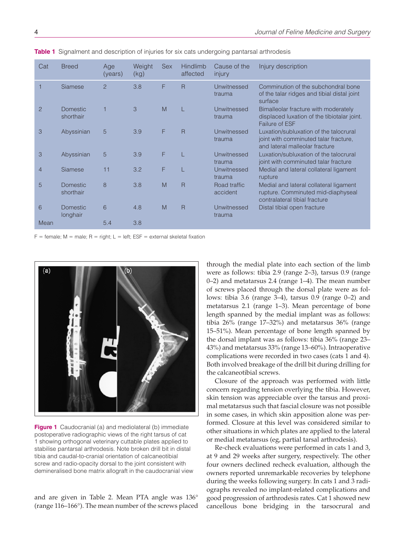| Cat            | <b>Breed</b>                 | Age<br>(years) | Weight<br>(kg) | <b>Sex</b> | <b>Hindlimb</b><br>affected | Cause of the<br>injury   | Injury description                                                                                                |
|----------------|------------------------------|----------------|----------------|------------|-----------------------------|--------------------------|-------------------------------------------------------------------------------------------------------------------|
|                | <b>Siamese</b>               | 2              | 3.8            | F          | R                           | Unwitnessed<br>trauma    | Comminution of the subchondral bone<br>of the talar ridges and tibial distal joint<br>surface                     |
| $\overline{2}$ | <b>Domestic</b><br>shorthair | $\overline{1}$ | 3              | M          |                             | Unwitnessed<br>trauma    | Bimalleolar fracture with moderately<br>displaced luxation of the tibiotalar joint.<br>Failure of ESF             |
| 3              | Abyssinian                   | 5              | 3.9            | F          | $\overline{R}$              | Unwitnessed<br>trauma    | Luxation/subluxation of the talocrural<br>joint with comminuted talar fracture,<br>and lateral malleolar fracture |
| 3              | Abyssinian                   | 5              | 3.9            | F          |                             | Unwitnessed<br>trauma    | Luxation/subluxation of the talocrural<br>joint with comminuted talar fracture                                    |
| 4              | Siamese                      | 11             | 3.2            | F          |                             | Unwitnessed<br>trauma    | Medial and lateral collateral ligament<br>rupture                                                                 |
| 5              | <b>Domestic</b><br>shorthair | 8              | 3.8            | M          | $\overline{R}$              | Road traffic<br>accident | Medial and lateral collateral ligament<br>rupture. Comminuted mid-diaphyseal<br>contralateral tibial fracture     |
| 6              | <b>Domestic</b><br>longhair  | 6              | 4.8            | M          | $\overline{R}$              | Unwitnessed<br>trauma    | Distal tibial open fracture                                                                                       |
| Mean           |                              | 5.4            | 3.8            |            |                             |                          |                                                                                                                   |

**Table 1** Signalment and description of injuries for six cats undergoing pantarsal arthrodesis

 $F =$  female; M = male; R = right; L = left; ESF = external skeletal fixation



**Figure 1** Caudocranial (a) and mediolateral (b) immediate postoperative radiographic views of the right tarsus of cat 1 showing orthogonal veterinary cuttable plates applied to stabilise pantarsal arthrodesis. Note broken drill bit in distal tibia and caudal-to-cranial orientation of calcaneotibial screw and radio-opacity dorsal to the joint consistent with demineralised bone matrix allograft in the caudocranial view

and are given in Table 2. Mean PTA angle was 136° (range 116–166°). The mean number of the screws placed

through the medial plate into each section of the limb were as follows: tibia 2.9 (range 2–3), tarsus 0.9 (range 0–2) and metatarsus 2.4 (range 1–4). The mean number of screws placed through the dorsal plate were as follows: tibia 3.6 (range 3–4), tarsus 0.9 (range 0–2) and metatarsus 2.1 (range 1–3). Mean percentage of bone length spanned by the medial implant was as follows: tibia 26% (range 17–32%) and metatarsus 36% (range 15–51%). Mean percentage of bone length spanned by the dorsal implant was as follows: tibia 36% (range 23– 43%) and metatarsus 33% (range 13–60%). Intraoperative complications were recorded in two cases (cats 1 and 4). Both involved breakage of the drill bit during drilling for the calcaneotibial screws.

Closure of the approach was performed with little concern regarding tension overlying the tibia. However, skin tension was appreciable over the tarsus and proximal metatarsus such that fascial closure was not possible in some cases, in which skin apposition alone was performed. Closure at this level was considered similar to other situations in which plates are applied to the lateral or medial metatarsus (eg, partial tarsal arthrodesis).

Re-check evaluations were performed in cats 1 and 3, at 9 and 29 weeks after surgery, respectively. The other four owners declined recheck evaluation, although the owners reported unremarkable recoveries by telephone during the weeks following surgery. In cats 1 and 3 radiographs revealed no implant-related complications and good progression of arthrodesis rates. Cat 1 showed new cancellous bone bridging in the tarsocrural and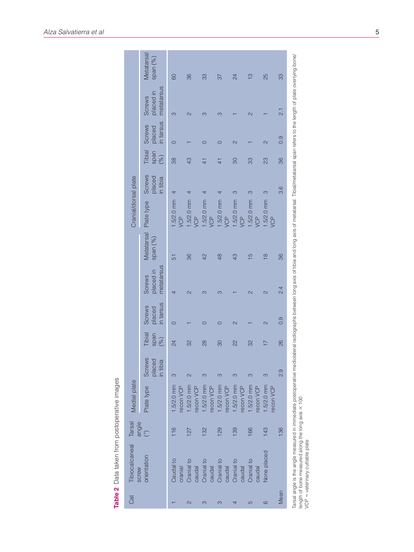| Cat  | Tibiocalcaneal Tarsal<br>screw | angle   | Medial plate             |                              |                       |                               |                                          |                        | Cranial/dorsal plate       |                              |                       |                               |                                   |                               |
|------|--------------------------------|---------|--------------------------|------------------------------|-----------------------|-------------------------------|------------------------------------------|------------------------|----------------------------|------------------------------|-----------------------|-------------------------------|-----------------------------------|-------------------------------|
|      | orientation                    | $\odot$ | Plate type               | Screws<br>placed<br>in tibia | Tibial<br>span<br>(%) | in tarsus<br>Screws<br>placed | metatarsus<br>placed in<br><b>Screws</b> | Metatarsal<br>span (%) | Plate type                 | Screws<br>placed<br>in tibia | Tibial<br>span<br>(%) | in tarsus<br>Screws<br>placed | metatarsus<br>placed in<br>Screws | <b>Metatarsal</b><br>span (%) |
|      | Caudal to<br>cranial           | 116     | $1.5/2.0$ mm<br>econ VCP |                              | 24                    |                               | 4                                        | 5                      | $1.5/2.0$ mm<br><b>VCP</b> |                              | 38                    | $\circ$                       | ო                                 | 60                            |
|      | Cranial to<br>caudal           | 127     | .5/2.0 mm<br>econ VCP    |                              | 32                    |                               | 2                                        | 36                     | $1.5/2.0$ mm<br><b>VCP</b> | 4                            | 43                    |                               | 2                                 | 36                            |
|      | Cranial to<br>caudal           | 132     | .5/2.0 mm<br>econ VCP    |                              | 28                    |                               | ო                                        | 42                     | $1.5/2.0$ mm<br><b>VCP</b> |                              | $\frac{1}{4}$         |                               | ო                                 | 33                            |
|      | Cranial to<br>caudal           | 129     | .5/2.0 mm<br>recon VCP   |                              | 80                    |                               | ო                                        | 48                     | $1.5/2.0$ mm<br><b>VCP</b> | 4                            | $\frac{1}{4}$         |                               | ო                                 | 37                            |
|      | Cranial to<br>caudal           | 39      | .5/2.0 mm<br>econ VCP    |                              | 22                    | $\overline{\mathcal{C}}$      |                                          | $\frac{3}{4}$          | $1.5/2.0$ mm<br><b>VCP</b> | 3                            | 30                    | 2                             |                                   | 24                            |
|      | Cranial to<br>caudal           | 166     | .5/2.0 mm<br>econ VCP    |                              | 32                    |                               | N                                        | 5                      | $1.5/2.0$ mm<br><b>VCP</b> | 3                            | 33                    |                               | $\overline{\mathcal{C}}$          | က္                            |
|      | None placed                    | 143     | .5/2.0 mm<br>econ VCP    |                              |                       | $\overline{\mathsf{c}}$       | 2                                        | $\infty$               | $1.5/2.0$ mm<br><b>VCP</b> | 3                            | 23                    | $\overline{\mathcal{C}}$      |                                   | 25                            |
| Mean |                                | 136     |                          | 2.9                          | 26                    | 0.9                           | 2.4                                      | 36                     |                            | 3.6                          | 36                    | 0.9                           | $\overline{21}$                   | 33                            |
|      |                                |         |                          |                              |                       |                               |                                          |                        |                            |                              |                       |                               |                                   |                               |

Table 2 Data taken from postoperative images **Table 2** Data taken from postoperative images

Tarsal angle is the angle measured in immediate postoperative mediolateral radiographs between long axis of tibia and long axis of metatarsal. Tibial/metatarsal span refers to the length of plate overlying bone/<br>Ingth of b Tarsal angle is the angle measured in immediate postoperative mediolateral radiographs between long axis of tibia and long axis of metatarsal. Tibial/metatarsal span refers to the length of plate overlying bone/ length of bone measured along the long axis × 100 VCP = veterinary cuttable plate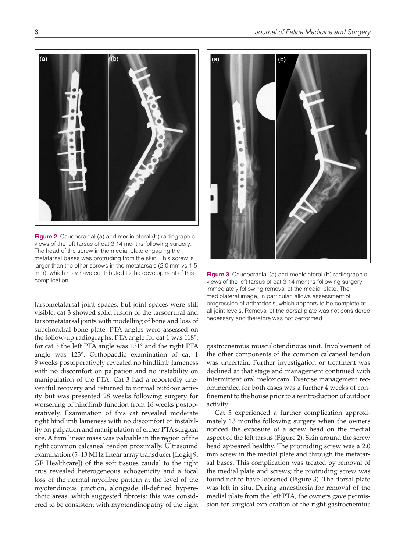

**Figure 2** Caudocranial (a) and mediolateral (b) radiographic views of the left tarsus of cat 3 14 months following surgery. The head of the screw in the medial plate engaging the metatarsal bases was protruding from the skin. This screw is larger than the other screws in the metatarsals (2.0 mm vs 1.5 mm), which may have contributed to the development of this complication

tarsometatarsal joint spaces, but joint spaces were still visible; cat 3 showed solid fusion of the tarsocrural and tarsometatarsal joints with modelling of bone and loss of subchondral bone plate. PTA angles were assessed on the follow-up radiographs: PTA angle for cat 1 was 118°; for cat 3 the left PTA angle was 131° and the right PTA angle was 123°. Orthopaedic examination of cat 1 9 weeks postoperatively revealed no hindlimb lameness with no discomfort on palpation and no instability on manipulation of the PTA. Cat 3 had a reportedly uneventful recovery and returned to normal outdoor activity but was presented 28 weeks following surgery for worsening of hindlimb function from 16 weeks postoperatively. Examination of this cat revealed moderate right hindlimb lameness with no discomfort or instability on palpation and manipulation of either PTA surgical site. A firm linear mass was palpable in the region of the right common calcaneal tendon proximally. Ultrasound examination (5–13 MHz linear array transducer [Logiq 9; GE Healthcare]) of the soft tissues caudal to the right crus revealed heterogeneous echogenicity and a focal loss of the normal myofibre pattern at the level of the myotendinous junction, alongside ill-defined hyperechoic areas, which suggested fibrosis; this was considered to be consistent with myotendinopathy of the right



**Figure 3** Caudocranial (a) and mediolateral (b) radiographic views of the left tarsus of cat 3 14 months following surgery immediately following removal of the medial plate. The mediolateral image, in particular, allows assessment of progression of arthrodesis, which appears to be complete at all joint levels. Removal of the dorsal plate was not considered necessary and therefore was not performed

gastrocnemius musculotendinous unit. Involvement of the other components of the common calcaneal tendon was uncertain. Further investigation or treatment was declined at that stage and management continued with intermittent oral meloxicam. Exercise management recommended for both cases was a further 4 weeks of confinement to the house prior to a reintroduction of outdoor activity.

Cat 3 experienced a further complication approximately 13 months following surgery when the owners noticed the exposure of a screw head on the medial aspect of the left tarsus (Figure 2). Skin around the screw head appeared healthy. The protruding screw was a 2.0 mm screw in the medial plate and through the metatarsal bases. This complication was treated by removal of the medial plate and screws; the protruding screw was found not to have loosened (Figure 3). The dorsal plate was left in situ. During anaesthesia for removal of the medial plate from the left PTA, the owners gave permission for surgical exploration of the right gastrocnemius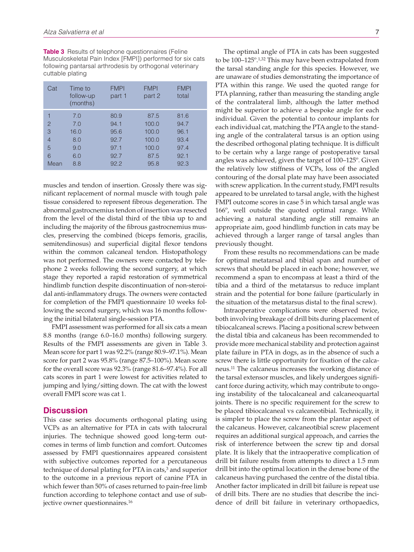**Table 3** Results of telephone questionnaires (Feline Musculoskeletal Pain Index [FMPI]) performed for six cats following pantarsal arthrodesis by orthogonal veterinary cuttable plating

| Cat            | Time to<br>follow-up<br>(months) | <b>FMPI</b><br>part 1 | <b>FMPI</b><br>part 2 | <b>FMPI</b><br>total |
|----------------|----------------------------------|-----------------------|-----------------------|----------------------|
|                | 7.0                              | 80.9                  | 87.5                  | 81.6                 |
| $\overline{2}$ | 7.0                              | 94.1                  | 100.0                 | 94.7                 |
| 3              | 16.0                             | 95.6                  | 100.0                 | 96.1                 |
| $\overline{4}$ | 8.0                              | 92.7                  | 100.0                 | 93.4                 |
| 5              | 9.0                              | 97.1                  | 100.0                 | 97.4                 |
| 6              | 6.0                              | 92.7                  | 87.5                  | 92.1                 |
| Mean           | 8.8                              | 92.2                  | 95.8                  | 92.3                 |

muscles and tendon of insertion. Grossly there was significant replacement of normal muscle with tough pale tissue considered to represent fibrous degeneration. The abnormal gastrocnemius tendon of insertion was resected from the level of the distal third of the tibia up to and including the majority of the fibrous gastrocnemius muscles, preserving the combined (biceps femoris, gracilis, semitendinosus) and superficial digital flexor tendons within the common calcaneal tendon. Histopathology was not performed. The owners were contacted by telephone 2 weeks following the second surgery, at which stage they reported a rapid restoration of symmetrical hindlimb function despite discontinuation of non-steroidal anti-inflammatory drugs. The owners were contacted for completion of the FMPI questionnaire 10 weeks following the second surgery, which was 16 months following the initial bilateral single-session PTA.

FMPI assessment was performed for all six cats a mean 8.8 months (range 6.0–16.0 months) following surgery. Results of the FMPI assessments are given in Table 3. Mean score for part 1 was 92.2% (range 80.9–97.1%). Mean score for part 2 was 95.8% (range 87.5–100%). Mean score for the overall score was 92.3% (range 81.6–97.4%). For all cats scores in part 1 were lowest for activities related to jumping and lying/sitting down. The cat with the lowest overall FMPI score was cat 1.

#### **Discussion**

This case series documents orthogonal plating using VCPs as an alternative for PTA in cats with talocrural injuries. The technique showed good long-term outcomes in terms of limb function and comfort. Outcomes assessed by FMPI questionnaires appeared consistent with subjective outcomes reported for a percutaneous technique of dorsal plating for PTA in cats,<sup>3</sup> and superior to the outcome in a previous report of canine PTA in which fewer than 50% of cases returned to pain-free limb function according to telephone contact and use of subjective owner questionnaires.<sup>16</sup>

The optimal angle of PTA in cats has been suggested to be 100-125°.<sup>1,32</sup> This may have been extrapolated from the tarsal standing angle for this species. However, we are unaware of studies demonstrating the importance of PTA within this range. We used the quoted range for PTA planning, rather than measuring the standing angle of the contralateral limb, although the latter method might be superior to achieve a bespoke angle for each individual. Given the potential to contour implants for each individual cat, matching the PTA angle to the standing angle of the contralateral tarsus is an option using the described orthogonal plating technique. It is difficult to be certain why a large range of postoperative tarsal angles was achieved, given the target of 100–125º. Given the relatively low stiffness of VCPs, loss of the angled contouring of the dorsal plate may have been associated with screw application. In the current study, FMPI results appeared to be unrelated to tarsal angle, with the highest FMPI outcome scores in case 5 in which tarsal angle was 166º, well outside the quoted optimal range. While achieving a natural standing angle still remains an appropriate aim, good hindlimb function in cats may be achieved through a larger range of tarsal angles than previously thought.

From these results no recommendations can be made for optimal metatarsal and tibial span and number of screws that should be placed in each bone; however, we recommend a span to encompass at least a third of the tibia and a third of the metatarsus to reduce implant strain and the potential for bone failure (particularly in the situation of the metatarsus distal to the final screw).

Intraoperative complications were observed twice, both involving breakage of drill bits during placement of tibiocalcaneal screws. Placing a positional screw between the distal tibia and calcaneus has been recommended to provide more mechanical stability and protection against plate failure in PTA in dogs, as in the absence of such a screw there is little opportunity for fixation of the calcaneus.11 The calcaneus increases the working distance of the tarsal extensor muscles, and likely undergoes significant force during activity, which may contribute to ongoing instability of the talocalcaneal and calcaneoquartal joints. There is no specific requirement for the screw to be placed tibiocalcaneal vs calcaneotibial. Technically, it is simpler to place the screw from the plantar aspect of the calcaneus. However, calcaneotibial screw placement requires an additional surgical approach, and carries the risk of interference between the screw tip and dorsal plate. It is likely that the intraoperative complication of drill bit failure results from attempts to direct a 1.5 mm drill bit into the optimal location in the dense bone of the calcaneus having purchased the centre of the distal tibia. Another factor implicated in drill bit failure is repeat use of drill bits. There are no studies that describe the incidence of drill bit failure in veterinary orthopaedics,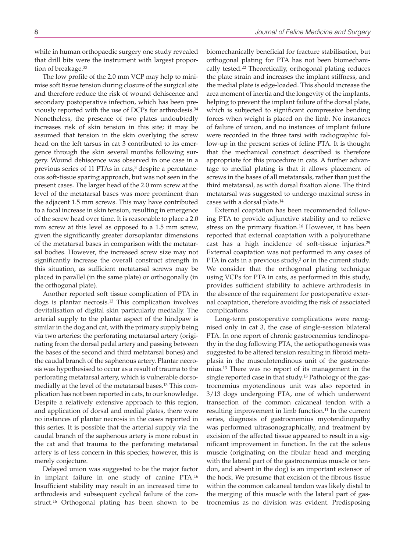while in human orthopaedic surgery one study revealed that drill bits were the instrument with largest proportion of breakage.<sup>33</sup>

The low profile of the 2.0 mm VCP may help to minimise soft tissue tension during closure of the surgical site and therefore reduce the risk of wound dehiscence and secondary postoperative infection, which has been previously reported with the use of DCPs for arthrodesis.34 Nonetheless, the presence of two plates undoubtedly increases risk of skin tension in this site; it may be assumed that tension in the skin overlying the screw head on the left tarsus in cat 3 contributed to its emergence through the skin several months following surgery. Wound dehiscence was observed in one case in a previous series of 11 PTAs in cats, $3$  despite a percutaneous soft-tissue sparing approach, but was not seen in the present cases. The larger head of the 2.0 mm screw at the level of the metatarsal bases was more prominent than the adjacent 1.5 mm screws. This may have contributed to a focal increase in skin tension, resulting in emergence of the screw head over time. It is reasonable to place a 2.0 mm screw at this level as opposed to a 1.5 mm screw, given the significantly greater dorsoplantar dimensions of the metatarsal bases in comparison with the metatarsal bodies. However, the increased screw size may not significantly increase the overall construct strength in this situation, as sufficient metatarsal screws may be placed in parallel (in the same plate) or orthogonally (in the orthogonal plate).

Another reported soft tissue complication of PTA in dogs is plantar necrosis.13 This complication involves devitalisation of digital skin particularly medially. The arterial supply to the plantar aspect of the hindpaw is similar in the dog and cat, with the primary supply being via two arteries: the perforating metatarsal artery (originating from the dorsal pedal artery and passing between the bases of the second and third metatarsal bones) and the caudal branch of the saphenous artery. Plantar necrosis was hypothesised to occur as a result of trauma to the perforating metatarsal artery, which is vulnerable dorsomedially at the level of the metatarsal bases.13 This complication has not been reported in cats, to our knowledge. Despite a relatively extensive approach to this region, and application of dorsal and medial plates, there were no instances of plantar necrosis in the cases reported in this series. It is possible that the arterial supply via the caudal branch of the saphenous artery is more robust in the cat and that trauma to the perforating metatarsal artery is of less concern in this species; however, this is merely conjecture.

Delayed union was suggested to be the major factor in implant failure in one study of canine PTA.16 Insufficient stability may result in an increased time to arthrodesis and subsequent cyclical failure of the construct.<sup>16</sup> Orthogonal plating has been shown to be biomechanically beneficial for fracture stabilisation, but orthogonal plating for PTA has not been biomechanically tested.22 Theoretically, orthogonal plating reduces the plate strain and increases the implant stiffness, and the medial plate is edge-loaded. This should increase the area moment of inertia and the longevity of the implants, helping to prevent the implant failure of the dorsal plate, which is subjected to significant compressive bending forces when weight is placed on the limb. No instances of failure of union, and no instances of implant failure were recorded in the three tarsi with radiographic follow-up in the present series of feline PTA. It is thought that the mechanical construct described is therefore appropriate for this procedure in cats. A further advantage to medial plating is that it allows placement of screws in the bases of all metatarsals, rather than just the third metatarsal, as with dorsal fixation alone. The third metatarsal was suggested to undergo maximal stress in cases with a dorsal plate.14

External coaptation has been recommended following PTA to provide adjunctive stability and to relieve stress on the primary fixation.<sup>16</sup> However, it has been reported that external coaptation with a polyurethane cast has a high incidence of soft-tissue injuries.29 External coaptation was not performed in any cases of PTA in cats in a previous study, $3$  or in the current study. We consider that the orthogonal plating technique using VCPs for PTA in cats, as performed in this study, provides sufficient stability to achieve arthrodesis in the absence of the requirement for postoperative external coaptation, therefore avoiding the risk of associated complications.

Long-term postoperative complications were recognised only in cat 3, the case of single-session bilateral PTA. In one report of chronic gastrocnemius tendinopathy in the dog following PTA, the aetiopathogenesis was suggested to be altered tension resulting in fibroid metaplasia in the musculotendinous unit of the gastrocnemius.13 There was no report of its management in the single reported case in that study.13 Pathology of the gastrocnemius myotendinous unit was also reported in 3/13 dogs undergoing PTA, one of which underwent transection of the common calcaneal tendon with a resulting improvement in limb function.<sup>11</sup> In the current series, diagnosis of gastrocnemius myotendinopathy was performed ultrasonographically, and treatment by excision of the affected tissue appeared to result in a significant improvement in function. In the cat the soleus muscle (originating on the fibular head and merging with the lateral part of the gastrocnemius muscle or tendon, and absent in the dog) is an important extensor of the hock. We presume that excision of the fibrous tissue within the common calcaneal tendon was likely distal to the merging of this muscle with the lateral part of gastrocnemius as no division was evident. Predisposing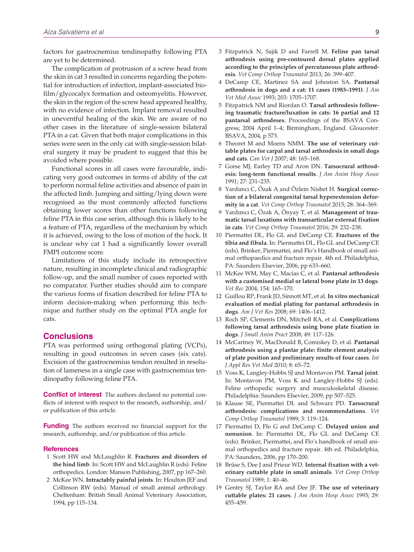factors for gastrocnemius tendinopathy following PTA are yet to be determined.

The complication of protrusion of a screw head from the skin in cat 3 resulted in concerns regarding the potential for introduction of infection, implant-associated biofilm/glycocalyx formation and osteomyelitis. However, the skin in the region of the screw head appeared healthy, with no evidence of infection. Implant removal resulted in uneventful healing of the skin. We are aware of no other cases in the literature of single-session bilateral PTA in a cat. Given that both major complications in this series were seen in the only cat with single-session bilateral surgery it may be prudent to suggest that this be avoided where possible.

Functional scores in all cases were favourable, indicating very good outcomes in terms of ability of the cat to perform normal feline activities and absence of pain in the affected limb. Jumping and sitting/lying down were recognised as the most commonly affected functions obtaining lower scores than other functions following feline PTA in this case series, although this is likely to be a feature of PTA, regardless of the mechanism by which it is achieved, owing to the loss of motion of the hock. It is unclear why cat 1 had a significantly lower overall FMPI outcome score.

Limitations of this study include its retrospective nature, resulting in incomplete clinical and radiographic follow-up, and the small number of cases reported with no comparator. Further studies should aim to compare the various forms of fixation described for feline PTA to inform decision-making when performing this technique and further study on the optimal PTA angle for cats.

### **Conclusions**

PTA was performed using orthogonal plating (VCPs), resulting in good outcomes in seven cases (six cats). Excision of the gastrocnemius tendon resulted in resolution of lameness in a single case with gastrocnemius tendinopathy following feline PTA.

**Conflict of interest** The authors declared no potential conflicts of interest with respect to the research, authorship, and/ or publication of this article.

**Funding** The authors received no financial support for the research, authorship, and/or publication of this article.

#### **References**

- 1 Scott HW and McLaughlin R. **Fractures and disorders of the hind limb**. In: Scott HW and McLaughlin R (eds). Feline orthopedics. London: Manson Publishing, 2007, pp 167–260.
- 2 McKee WN. **Intractably painful joints**. In: Houlton JEF and Collinson RW (eds). Manual of small animal arthrology. Cheltenham: British Small Animal Veterinary Association, 1994, pp 115–134.
- 3 Fitzpatrick N, Sajik D and Farrell M. **Feline pan tarsal arthrodesis using pre-contoured dorsal plates applied according to the principles of percutaneous plate arthrodesis**. *Vet Comp Orthop Traumatol* 2013; 26: 399–407.
- 4 DeCamp CE, Martinez SA and Johnston SA. **Pantarsal arthrodesis in dogs and a cat: 11 cases (1983–1991)**. *J Am Vet Med Assoc* 1993; 203: 1705–1707.
- 5 Fitzpatrick NM and Riordan O. **Tarsal arthrodesis following traumatic fracture/luxation in cats: 16 partial and 12 pantarsal arthrodeses.** Proceedings of the BSAVA Congress; 2004 April 1–4; Birmingham, England. Gloucester: BSAVA, 2004, p 573.
- 6 Theoret M and Moens NMM. **The use of veterinary cuttable plates for carpal and tarsal arthrodesis in small dogs and cats**. *Can Vet J* 2007; 48: 165–168.
- 7 Gorse MJ, Earley TD and Aron DN. **Tarsocrural arthrodesis: long-term functional results**. *J Am Anim Hosp Assoc* 1991; 27: 231–235.
- 8 Yardımcı C, Özak A and Özlem Nisbet H. **Surgical correction of a bilateral congenital tarsal hyperextension deformity in a cat**. *Vet Comp Orthop Traumatol* 2015; 28: 364–369.
- 9 Yardımcı C, Özak A, Önyay T, et al. **Management of traumatic tarsal luxations with transarticular external fixation in cats**. *Vet Comp Orthop Traumatol* 2016; 29: 232–238.
- 10 Piermattei DL, Flo GL and DeCamp CE. **Fractures of the tibia and fibula**. In: Piermattei DL, Flo GL and DeCamp CE (eds). Brinker, Piermattei, and Flo's Handbook of small animal orthopaedics and fracture repair. 4th ed. Philadelphia, PA: Saunders Elsevier, 2006, pp 633–660.
- 11 McKee WM, May C, Macias C, et al. **Pantarsal arthrodesis with a customised medial or lateral bone plate in 13 dogs**. *Vet Rec* 2004; 154: 165–170.
- 12 Guillou RP, Frank JD, Sinnott MT, et al. **In vitro mechanical evaluation of medial plating for pantarsal arthrodesis in dogs**. *Am J Vet Res* 2008; 69: 1406–1412.
- 13 Roch SP, Clements DN, Mitchell RA, et al. **Complications following tarsal arthrodesis using bone plate fixation in dogs**. *J Small Anim Pract* 2008; 49: 117–126.
- 14 McCartney W, MacDonald B, Comiskey D, et al. **Pantarsal arthrodesis using a plantar plate: finite element analysis of plate position and preliminary results of four cases**. *Int J Appl Res Vet Med* 2010; 8: 65–72.
- 15 Voss K, Langley-Hobbs SJ and Montavon PM. **Tarsal joint**. In: Montavon PM, Voss K and Langley-Hobbs SJ (eds). Feline orthopedic surgery and musculoskeletal disease. Philadelphia: Saunders Elsevier, 2009, pp 507–525.
- 16 Klause SE, Piermattei DL and Schwarz PD. **Tarsocrural arthrodesis: complications and recommendations**. *Vet Comp Orthop Traumatol* 1989; 3: 119–124.
- 17 Piermattei D, Flo G and DeCamp C. **Delayed union and nonunion**. In: Piermattei DL, Flo GL and DeCamp CE (eds). Brinker, Piermattei, and Flo's handbook of small animal orthopedics and fracture repair. 4th ed. Philadelphia, PA: Saunders, 2006, pp 170–200.
- 18 Brüse S, Dee J and Prieur WD. **Internal fixation with a veterinary cuttable plate in small animals**. *Vet Comp Orthop Traumatol* 1989; 1: 40–46.
- 19 Gentry SJ, Taylor RA and Dee JF. **The use of veterinary cuttable plates: 21 cases**. *J Am Anim Hosp Assoc* 1993; 29: 455–459.